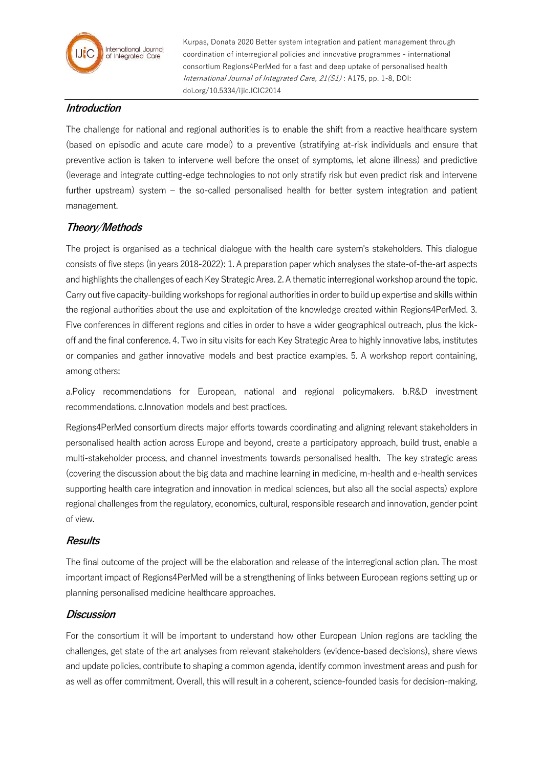

Kurpas, Donata 2020 Better system integration and patient management through coordination of interregional policies and innovative programmes - international consortium Regions4PerMed for a fast and deep uptake of personalised health International Journal of Integrated Care, 21(S1) : A175, pp. 1-8, DOI: doi.org/10.5334/ijic.ICIC2014

### **Introduction**

The challenge for national and regional authorities is to enable the shift from a reactive healthcare system (based on episodic and acute care model) to a preventive (stratifying at-risk individuals and ensure that preventive action is taken to intervene well before the onset of symptoms, let alone illness) and predictive (leverage and integrate cutting-edge technologies to not only stratify risk but even predict risk and intervene further upstream) system – the so-called personalised health for better system integration and patient management.

# **Theory/Methods**

The project is organised as a technical dialogue with the health care system's stakeholders. This dialogue consists of five steps (in years 2018-2022): 1. A preparation paper which analyses the state-of-the-art aspects and highlights the challenges of each Key Strategic Area. 2. A thematic interregional workshop around the topic. Carry out five capacity-building workshops for regional authorities in order to build up expertise and skills within the regional authorities about the use and exploitation of the knowledge created within Regions4PerMed. 3. Five conferences in different regions and cities in order to have a wider geographical outreach, plus the kickoff and the final conference. 4. Two in situ visits for each Key Strategic Area to highly innovative labs, institutes or companies and gather innovative models and best practice examples. 5. A workshop report containing, among others:

a.Policy recommendations for European, national and regional policymakers. b.R&D investment recommendations. c.Innovation models and best practices.

Regions4PerMed consortium directs major efforts towards coordinating and aligning relevant stakeholders in personalised health action across Europe and beyond, create a participatory approach, build trust, enable a multi-stakeholder process, and channel investments towards personalised health. The key strategic areas (covering the discussion about the big data and machine learning in medicine, m-health and e-health services supporting health care integration and innovation in medical sciences, but also all the social aspects) explore regional challenges from the regulatory, economics, cultural, responsible research and innovation, gender point of view.

### **Results**

The final outcome of the project will be the elaboration and release of the interregional action plan. The most important impact of Regions4PerMed will be a strengthening of links between European regions setting up or planning personalised medicine healthcare approaches.

## **Discussion**

For the consortium it will be important to understand how other European Union regions are tackling the challenges, get state of the art analyses from relevant stakeholders (evidence-based decisions), share views and update policies, contribute to shaping a common agenda, identify common investment areas and push for as well as offer commitment. Overall, this will result in a coherent, science-founded basis for decision-making.